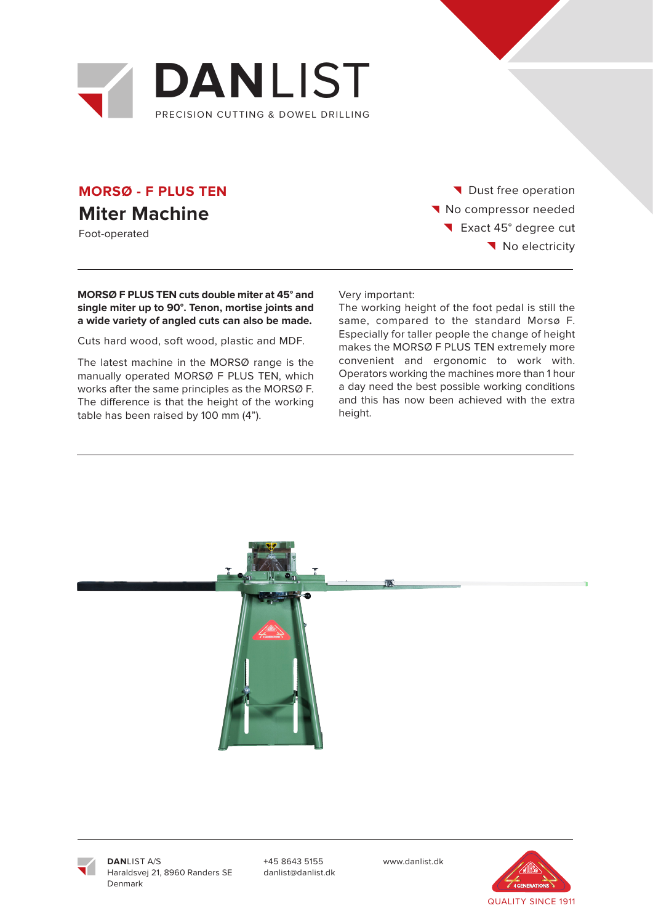

## **MORSØ - F PLUS TEN Miter Machine**

Foot-operated

Dust free operation No compressor needed Exact 45° degree cut No electricity

### **MORSØ F PLUS TEN cuts double miter at 45° and single miter up to 90°. Tenon, mortise joints and a wide variety of angled cuts can also be made.**

Cuts hard wood, soft wood, plastic and MDF.

The latest machine in the MORSØ range is the manually operated MORSØ F PLUS TEN, which works after the same principles as the MORSØ F. The difference is that the height of the working table has been raised by 100 mm (4").

Very important:

The working height of the foot pedal is still the same, compared to the standard Morsø F. Especially for taller people the change of height makes the MORSØ F PLUS TEN extremely more convenient and ergonomic to work with. Operators working the machines more than 1 hour a day need the best possible working conditions and this has now been achieved with the extra height.





**DAN**LIST A/S Haraldsvej 21, 8960 Randers SE Denmark

+45 8643 5155 www.danlist.dk danlist@danlist.dk